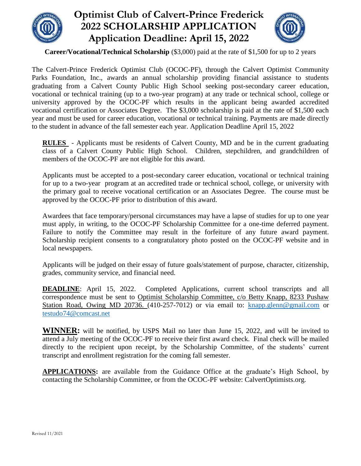

## **Optimist Club of Calvert-Prince Frederick 2022 SCHOLARSHIP APPLICATION Application Deadline: April 15, 2022**



**Career/Vocational/Technical Scholarship** (\$3,000) paid at the rate of \$1,500 for up to 2 years

The Calvert-Prince Frederick Optimist Club (OCOC-PF), through the Calvert Optimist Community Parks Foundation, Inc., awards an annual scholarship providing financial assistance to students graduating from a Calvert County Public High School seeking post-secondary career education, vocational or technical training (up to a two-year program) at any trade or technical school, college or university approved by the OCOC-PF which results in the applicant being awarded accredited vocational certification or Associates Degree. The \$3,000 scholarship is paid at the rate of \$1,500 each year and must be used for career education, vocational or technical training. Payments are made directly to the student in advance of the fall semester each year. Application Deadline April 15, 2022

**RULES** - Applicants must be residents of Calvert County, MD and be in the current graduating class of a Calvert County Public High School. Children, stepchildren, and grandchildren of members of the OCOC-PF are not eligible for this award.

Applicants must be accepted to a post-secondary career education, vocational or technical training for up to a two-year program at an accredited trade or technical school, college, or university with the primary goal to receive vocational certification or an Associates Degree. The course must be approved by the OCOC-PF prior to distribution of this award.

Awardees that face temporary/personal circumstances may have a lapse of studies for up to one year must apply, in writing, to the OCOC-PF Scholarship Committee for a one-time deferred payment. Failure to notify the Committee may result in the forfeiture of any future award payment. Scholarship recipient consents to a congratulatory photo posted on the OCOC-PF website and in local newspapers.

Applicants will be judged on their essay of future goals/statement of purpose, character, citizenship, grades, community service, and financial need.

**DEADLINE:** April 15, 2022. Completed Applications, current school transcripts and all correspondence must be sent to Optimist Scholarship Committee, c/o Betty Knapp, 8233 Pushaw Station Road, Owing MD 20736. (410-257-7012) or via email to: [knapp.glenn@gmail.com](about:blank) or [testudo74@comcast.net](about:blank)

**WINNER:** will be notified, by USPS Mail no later than June 15, 2022, and will be invited to attend a July meeting of the OCOC-PF to receive their first award check. Final check will be mailed directly to the recipient upon receipt, by the Scholarship Committee, of the students' current transcript and enrollment registration for the coming fall semester.

**APPLICATIONS:** are available from the Guidance Office at the graduate's High School, by contacting the Scholarship Committee, or from the OCOC-PF website: CalvertOptimists.org.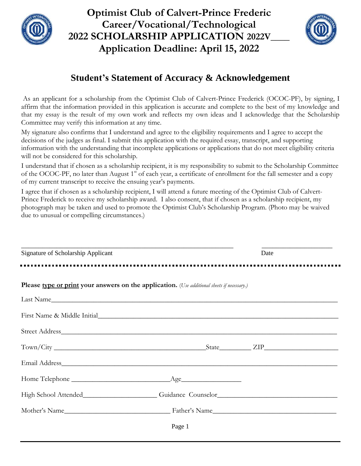

**Optimist Club of Calvert-Prince Frederic Career/Vocational/Technological 2022 SCHOLARSHIP APPLICATION 2022V\_\_\_\_ Application Deadline: April 15, 2022**



## **Student's Statement of Accuracy & Acknowledgement**

As an applicant for a scholarship from the Optimist Club of Calvert-Prince Frederick (OCOC-PF), by signing, I affirm that the information provided in this application is accurate and complete to the best of my knowledge and that my essay is the result of my own work and reflects my own ideas and I acknowledge that the Scholarship Committee may verify this information at any time.

My signature also confirms that I understand and agree to the eligibility requirements and I agree to accept the decisions of the judges as final. I submit this application with the required essay, transcript, and supporting information with the understanding that incomplete applications or applications that do not meet eligibility criteria will not be considered for this scholarship.

I understand that if chosen as a scholarship recipient, it is my responsibility to submit to the Scholarship Committee of the OCOC-PF, no later than August  $1<sup>st</sup>$  of each year, a certificate of enrollment for the fall semester and a copy of my current transcript to receive the ensuing year's payments.

I agree that if chosen as a scholarship recipient, I will attend a future meeting of the Optimist Club of Calvert-Prince Frederick to receive my scholarship award. I also consent, that if chosen as a scholarship recipient, my photograph may be taken and used to promote the Optimist Club's Scholarship Program. (Photo may be waived due to unusual or compelling circumstances.)

| Signature of Scholarship Applicant |                                                                                                                                                                                                                                | Date |  |
|------------------------------------|--------------------------------------------------------------------------------------------------------------------------------------------------------------------------------------------------------------------------------|------|--|
|                                    | Please type or print your answers on the application. (Use additional sheets if necessary.)                                                                                                                                    |      |  |
|                                    | Last Name                                                                                                                                                                                                                      |      |  |
|                                    |                                                                                                                                                                                                                                |      |  |
|                                    |                                                                                                                                                                                                                                |      |  |
|                                    |                                                                                                                                                                                                                                |      |  |
|                                    |                                                                                                                                                                                                                                |      |  |
|                                    |                                                                                                                                                                                                                                |      |  |
|                                    | High School Attended______________________Guidance Counselor_____________________                                                                                                                                              |      |  |
|                                    | Mother's Name Latter's Name Latter's Name Latter's Name Latter's Name Latter's Name Latter's Name Latter's Name Latter's Name Latter's Name Latter's Name Latter's Name Latter's Name Latter's Name Latter's Name Latter's Nam |      |  |
|                                    | Page 1                                                                                                                                                                                                                         |      |  |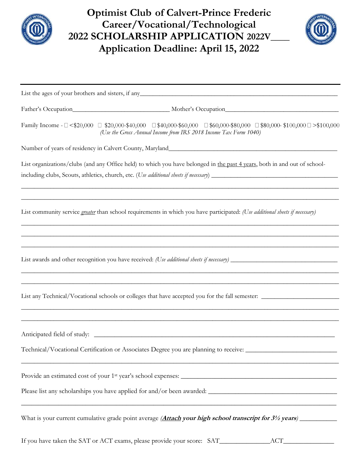

**Optimist Club of Calvert-Prince Frederic Career/Vocational/Technological 2022 SCHOLARSHIP APPLICATION 2022V\_\_\_\_ Application Deadline: April 15, 2022**



|                                                                                                                       | List the ages of your brothers and sisters, if any                                                                                                                                                                          |
|-----------------------------------------------------------------------------------------------------------------------|-----------------------------------------------------------------------------------------------------------------------------------------------------------------------------------------------------------------------------|
|                                                                                                                       |                                                                                                                                                                                                                             |
|                                                                                                                       | Family Income - $\Box$ <\$20,000 $\Box$ \$20,000-\$40,000 $\Box$ \$40,000-\$60,000 $\Box$ \$60,000-\$80,000 $\Box$ \$80,000-\$100,000 $\Box$ >\$100,000<br>(Use the Gross Annual Income from IRS 2018 Income Tax Form 1040) |
|                                                                                                                       | Number of years of residency in Calvert County, Maryland                                                                                                                                                                    |
|                                                                                                                       | List organizations/clubs (and any Office held) to which you have belonged in the past 4 years, both in and out of school-                                                                                                   |
|                                                                                                                       | List community service greater than school requirements in which you have participated: (Use additional sheets if necessary)                                                                                                |
|                                                                                                                       |                                                                                                                                                                                                                             |
|                                                                                                                       |                                                                                                                                                                                                                             |
|                                                                                                                       | Technical/Vocational Certification or Associates Degree you are planning to receive: _________________________                                                                                                              |
|                                                                                                                       |                                                                                                                                                                                                                             |
| <u> 1989 - Johann Harry Harry Harry Harry Harry Harry Harry Harry Harry Harry Harry Harry Harry Harry Harry Harry</u> | <u> 1999 - Johann John Harry Harry Harry Harry Harry Harry Harry Harry Harry Harry Harry Harry Harry Harry Harry</u>                                                                                                        |
|                                                                                                                       |                                                                                                                                                                                                                             |